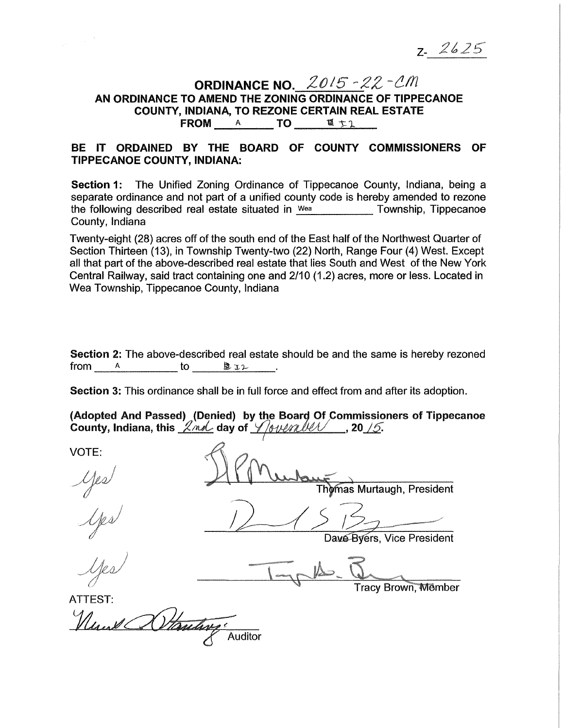$2.2625$ 

# **ORDINANCE NO.**  $2015 - 22 - CM$ AN ORDINANCE TO AMEND THE ZONING ORDINANCE OF TIPPECANOE COUNTY, INDIANA, TO REZONE CERTAIN REAL ESTATE FROM  $A$  TO  $\mathbb{Z}$   $\uparrow$  1:

#### BE IT ORDAINED BY THE BOARD OF COUNTY COMMISSIONERS OF TIPPECANOE COUNTY, INDIANA:

Section 1: The Unified Zoning Ordinance of Tippecanoe County, Indiana, being a separate ordinance and not part of a unified county code is hereby amended to rezone<br>the following described real estate situated in Wea Township, Tippecanoe the following described real estate situated in Wea County, Indiana

Twenty-eight (28) acres off of the south end of the East half of the Northwest Quarter of Section Thirteen (13), in Township Twenty-two (22) North, Range Four (4) West. Except all that part of the above-described real estate that lies South and West of the New York Central Railway, said tract containing one and 2/10 (1.2) acres, more or less. Located in Wea Township, Tippecanoe County, Indiana

Section 2: The above-described real estate should be and the same is hereby rezoned  $from$  A to  $\&{\scriptstyle 1\!\!2}$ 

Section 3: This ordinance shall be in full force and effect from and after its adoption.

(Adopted And Passed) (Denied) by the Board Of Commissioners of Tippecanoe County, Indiana, this  $\cancel{\mathcal{Z}}$ *nd* day of  $\cancel{\mathcal{Y}}$   $\frac{\partial \psi}{\partial t}$  . 20 /5.

VOTE:

**Thomas Murtaugh, President** 

Dave Byers, Vice President

**Tracy Brown, Member** 

ATTEST:

New Othertong!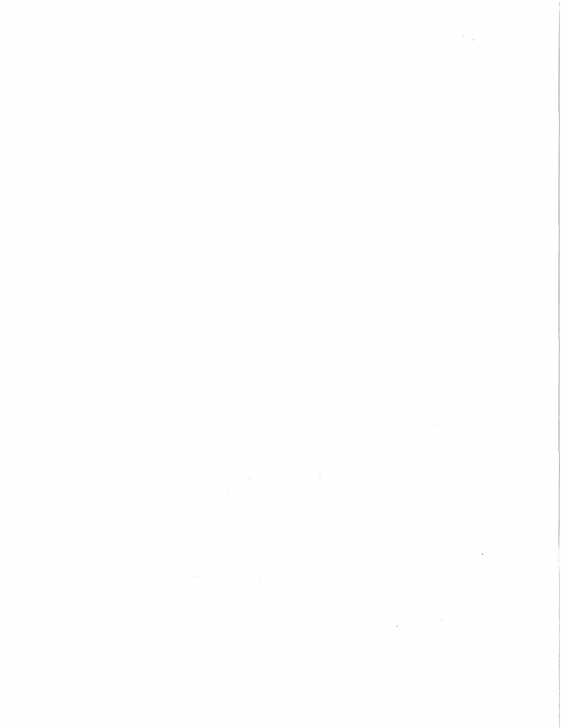# 

 $\sim 100$  km s  $^{-1}$ 

 $\label{eq:2.1} \frac{1}{\sqrt{2\pi}}\int_{\mathbb{R}^3}\frac{1}{\sqrt{2\pi}}\int_{\mathbb{R}^3}\frac{1}{\sqrt{2\pi}}\int_{\mathbb{R}^3}\frac{1}{\sqrt{2\pi}}\int_{\mathbb{R}^3}\frac{1}{\sqrt{2\pi}}\int_{\mathbb{R}^3}\frac{1}{\sqrt{2\pi}}\int_{\mathbb{R}^3}\frac{1}{\sqrt{2\pi}}\int_{\mathbb{R}^3}\frac{1}{\sqrt{2\pi}}\int_{\mathbb{R}^3}\frac{1}{\sqrt{2\pi}}\int_{\mathbb{R}^3}\frac{1$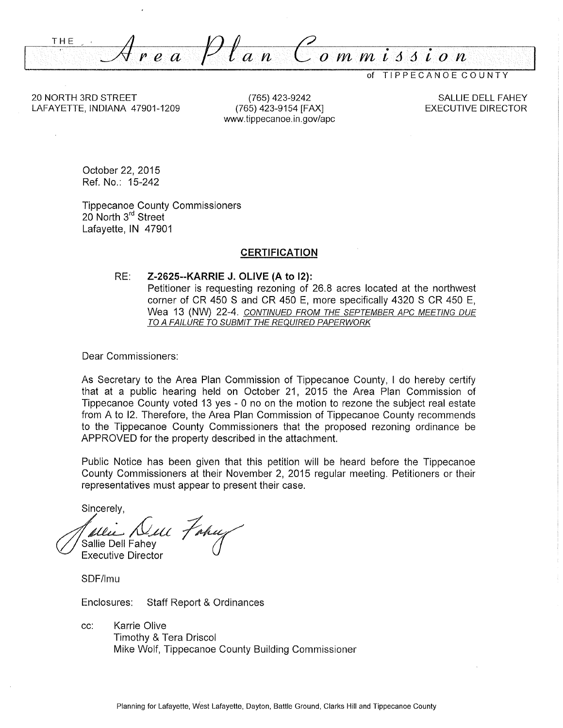THE *ea* 

of TIPPECANOE COUNTY

20 NORTH 3RD STREET LAFAYETTE, INDIANA 47901-1209

(765) 423-9242 (765) 423-9154 [FAX] www.tippecanoe.in.gov/ape

SALLIE DELL FAHEY EXECUTIVE DIRECTOR

October 22, 2015 Ref. No.: 15-242

Tippecanoe County Commissioners 20 North 3rd Street Lafayette, IN 47901

#### **CERTIFICATION**

#### RE: **Z-2625--KARRIE J. OLIVE (A to 12):**

Petitioner is requesting rezoning of 26.8 acres located at the northwest corner of CR 450 S and CR 450 E, more specifically 4320 S CR 450 E, Wea 13 (NW) 22-4. CONTINUED FROM THE SEPTEMBER APC MEETING DUE TO A FAILURE TO SUBMIT THE REQUIRED PAPERWORK

Dear Commissioners:

As Secretary to the Area Plan Commission of Tippecanoe County, I do hereby certify that at a public hearing held on October 21, 2015 the Area Plan Commission of Tippecanoe County voted 13 yes - 0 no on the motion to rezone the subject real estate from A to 12. Therefore, the Area Plan Commission of Tippecanoe County recommends to the Tippecanoe County Commissioners that the proposed rezoning ordinance be APPROVED for the property described in the attachment.

Public Notice has been given that this petition will be heard before the Tippecanoe County Commissioners at their November 2, 2015 regular meeting. Petitioners or their representatives must appear to present their case.

Julie Du Fory (// Sallie Dell Fahey Executive Director

SDF/lmu

Enclosures: Staff Report & Ordinances

cc: Karrie Olive Timothy & Tera Driscol Mike Wolf, Tippecanoe County Building Commissioner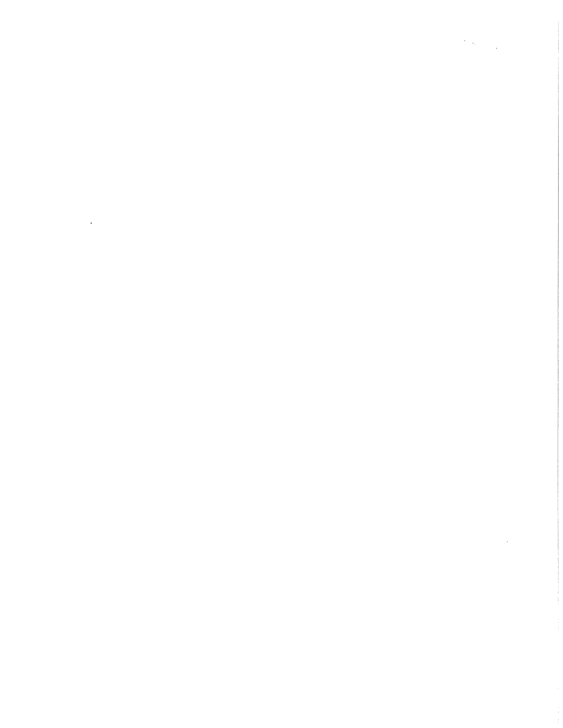$\label{eq:2} \begin{split} \mathcal{F}^{\text{max}}_{\text{max}}(\mathbf{y}_{\text{max}}) = \mathcal{F}^{\text{max}}_{\text{max}} \\ \mathcal{F}^{\text{max}}_{\text{max}}(\mathbf{y}_{\text{max}}) = \mathcal{F}^{\text{max}}_{\text{max}}(\mathbf{y}_{\text{max}}) \end{split}$ 

 $\sim 10^{-1}$ 

 $\sim$   $\sim$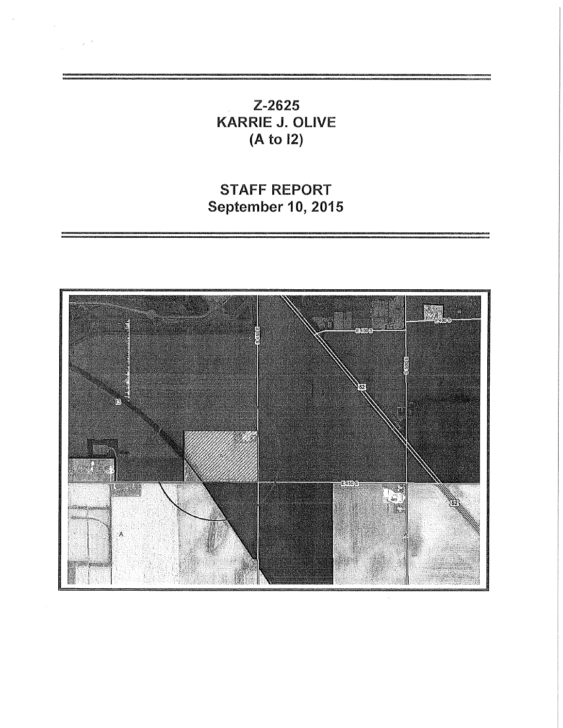Z-2625 KARRIE J. OLIVE (A to 12)

 $\hat{\mathbf{r}}_i = \hat{\mathbf{r}}_i$  .

STAFF REPORT September 10, 2015

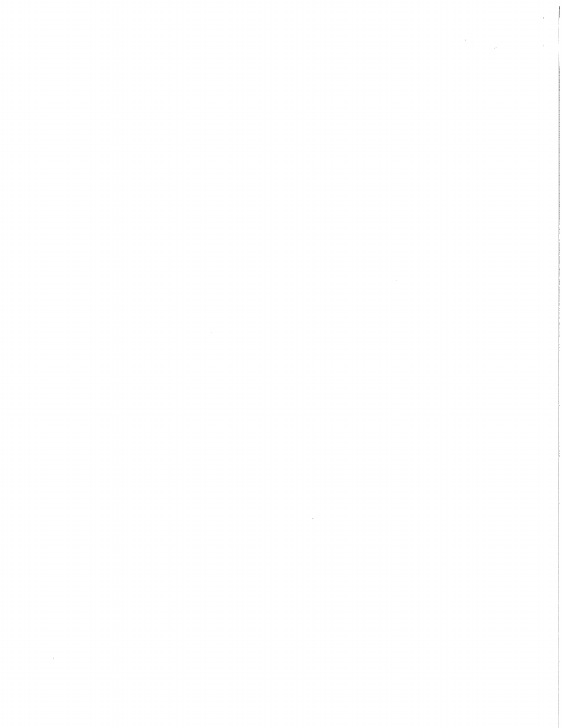$\label{eq:2.1} \frac{1}{\left\| \left( \frac{1}{\sqrt{2}} \right)^2 \right\|_{\mathcal{H}^1}^2} \leq \frac{1}{\sqrt{2}} \sum_{i=1}^{\infty} \frac{1}{\sqrt{2}} \left( \frac{1}{\sqrt{2}} \right)^2 \left( \frac{1}{\sqrt{2}} \right)^2.$ 

 $\hat{\mathcal{L}}$ 

 $\mathcal{L}(\mathcal{L}^{\mathcal{L}})$  and  $\mathcal{L}^{\mathcal{L}}$  and  $\mathcal{L}^{\mathcal{L}}$ 

 $\label{eq:2.1} \frac{1}{\sqrt{2}}\left(\frac{1}{\sqrt{2}}\right)^{2} \left(\frac{1}{\sqrt{2}}\right)^{2} \left(\frac{1}{\sqrt{2}}\right)^{2} \left(\frac{1}{\sqrt{2}}\right)^{2} \left(\frac{1}{\sqrt{2}}\right)^{2} \left(\frac{1}{\sqrt{2}}\right)^{2} \left(\frac{1}{\sqrt{2}}\right)^{2} \left(\frac{1}{\sqrt{2}}\right)^{2} \left(\frac{1}{\sqrt{2}}\right)^{2} \left(\frac{1}{\sqrt{2}}\right)^{2} \left(\frac{1}{\sqrt{2}}\right)^{2} \left(\$ 

 $\sim 400$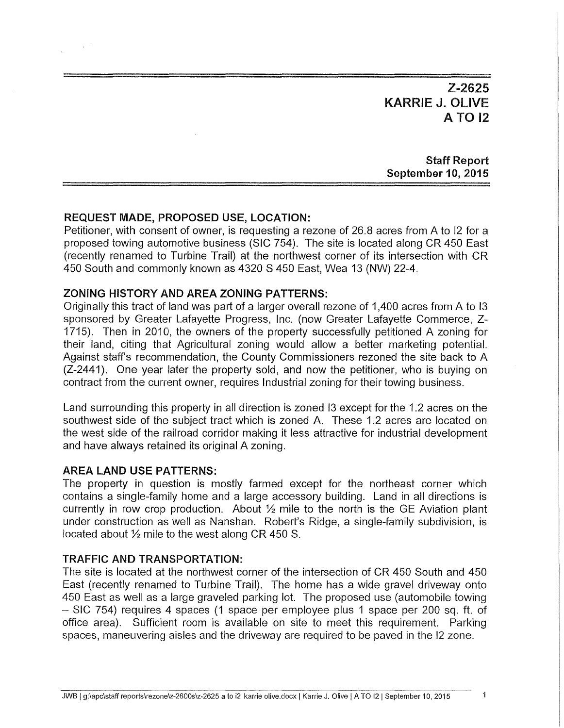Z=2625 KARRIE J. OLIVE A TO 12

Staff Report September 10, 2015

### REQUEST MADE, PROPOSED USE, LOCATION:

Petitioner, with consent of owner, is requesting a rezone of 26.8 acres from A to 12 for a proposed towing automotive business (SIC 754). The site is located along CR 450 East (recently renamed to Turbine Trail) at the northwest corner of its intersection with CR 450 South and commonly known as 4320 S 450 East, Wea 13 (NW) 22-4.

#### ZONING HISTORY AND AREA ZONING PATTERNS:

Originally this tract of land was part of a larger overall rezone of 1,400 acres from A to 13 sponsored by Greater Lafayette Progress, Inc. (now Greater Lafayette Commerce, Z-1715). Then in 2010, the owners of the property successfully petitioned A zoning for their land, citing that Agricultural zoning would allow a better marketing potential. Against staff's recommendation, the County Commissioners rezoned the site back to A (Z-2441). One year later the property sold, and now the petitioner, who is buying on contract from the current owner, requires Industrial zoning for their towing business.

Land surrounding this property in all direction is zoned 13 except for the 1.2 acres on the southwest side of the subject tract which is zoned A. These 1.2 acres are located on the west side of the railroad corridor making it less attractive for industrial development and have always retained its original A zoning.

#### AREA LAND USE PATTERNS:

The property in question is mostly farmed except for the northeast corner which contains a single-family home and a large accessory building. Land in all directions is currently in row crop production. About  $\frac{1}{2}$  mile to the north is the GE Aviation plant under construction as well as Nanshan. Robert's Ridge, a single-family subdivision, is located about 1/2 mile to the west along CR 450 S.

#### TRAFFIC AND TRANSPORTATION:

The site is located at the northwest corner of the intersection of CR 450 South and 450 East (recently renamed to Turbine Trail). The home has a wide gravel driveway onto 450 East as well as a large graveled parking lot. The proposed use (automobile towing - SIC 754) requires 4 spaces (1 space per employee plus 1 space per 200 sq. ft. of office area). Sufficient room is available on site to meet this requirement. Parking spaces, maneuvering aisles and the driveway are required to be paved in the 12 zone.

 $\overline{1}$